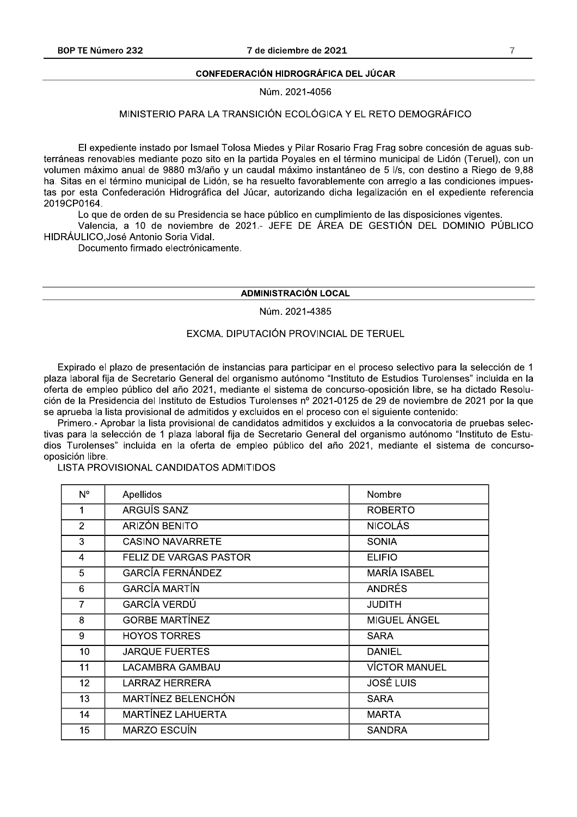#### **CONFEDERACIÓN HIDROGRÁFICA DEL JÚCAR**

Núm. 2021-4056

# MINISTERIO PARA LA TRANSICIÓN ECOLÓGICA Y EL RETO DEMOGRÁFICO

El expediente instado por Ismael Tolosa Miedes y Pilar Rosario Frag Frag sobre concesión de aguas subterráneas renovables mediante pozo sito en la partida Poyales en el término municipal de Lidón (Teruel), con un volumen máximo anual de 9880 m3/año y un caudal máximo instantáneo de 5 l/s, con destino a Riego de 9,88 ha. Sitas en el término municipal de Lidón, se ha resuelto favorablemente con arreglo a las condiciones impuestas por esta Confederación Hidrográfica del Júcar, autorizando dicha legalización en el expediente referencia 2019CP0164.

Lo que de orden de su Presidencia se hace público en cumplimiento de las disposiciones vigentes.

Valencia, a 10 de noviembre de 2021.- JEFE DE ÁREA DE GESTIÓN DEL DOMINIO PÚBLICO HIDRÁULICO, José Antonio Soria Vidal.

Documento firmado electrónicamente.

# **ADMINISTRACIÓN LOCAL**

Núm. 2021-4385

## EXCMA. DIPUTACIÓN PROVINCIAL DE TERUEL

Expirado el plazo de presentación de instancias para participar en el proceso selectivo para la selección de 1 plaza laboral fija de Secretario General del organismo autónomo "Instituto de Estudios Turolenses" incluida en la oferta de empleo público del año 2021, mediante el sistema de concurso-oposición libre, se ha dictado Resolución de la Presidencia del Instituto de Estudios Turolenses nº 2021-0125 de 29 de noviembre de 2021 por la que se aprueba la lista provisional de admitidos y excluidos en el proceso con el siguiente contenido:

Primero - Aprobar la lista provisional de candidatos admitidos y excluidos a la convocatoria de pruebas selectivas para la selección de 1 plaza laboral fija de Secretario General del organismo autónomo "Instituto de Estudios Turolenses" incluida en la oferta de empleo público del año 2021, mediante el sistema de concursooposición libre.

## LISTA PROVISIONAL CANDIDATOS ADMITIDOS

| N°                | Apellidos               | Nombre               |
|-------------------|-------------------------|----------------------|
| 1                 | ARGUÍS SANZ             | <b>ROBERTO</b>       |
| $\overline{2}$    | ARIZÓN BENITO           | <b>NICOLÁS</b>       |
| 3                 | <b>CASINO NAVARRETE</b> | <b>SONIA</b>         |
| 4                 | FELIZ DE VARGAS PASTOR  | <b>ELIFIO</b>        |
| 5                 | <b>GARCÍA FERNÁNDEZ</b> | <b>MARÍA ISABEL</b>  |
| 6                 | <b>GARCÍA MARTÍN</b>    | <b>ANDRÉS</b>        |
| 7                 | GARCÍA VERDÚ            | <b>JUDITH</b>        |
| 8                 | <b>GORBE MARTINEZ</b>   | MIGUEL ÁNGEL         |
| 9                 | <b>HOYOS TORRES</b>     | <b>SARA</b>          |
| 10                | <b>JARQUE FUERTES</b>   | <b>DANIEL</b>        |
| 11                | LACAMBRA GAMBAU         | <b>VÍCTOR MANUEL</b> |
| $12 \overline{ }$ | LARRAZ HERRERA          | <b>JOSÉ LUIS</b>     |
| 13                | MARTÍNEZ BELENCHÓN      | <b>SARA</b>          |
| 14                | MARTÍNEZ LAHUERTA       | <b>MARTA</b>         |
| 15                | <b>MARZO ESCUÍN</b>     | <b>SANDRA</b>        |